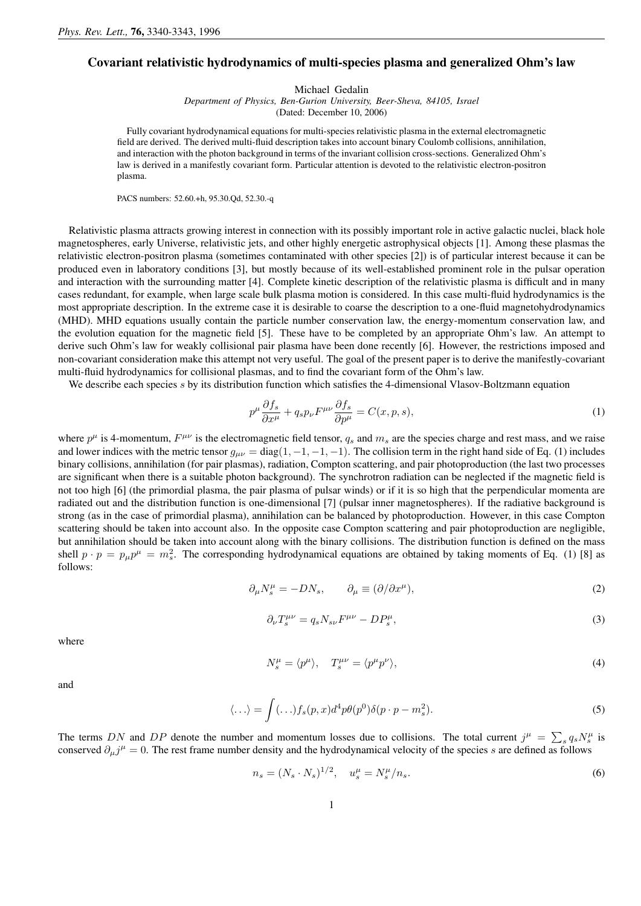## Covariant relativistic hydrodynamics of multi-species plasma and generalized Ohm's law

Michael Gedalin

*Department of Physics, Ben-Gurion University, Beer-Sheva, 84105, Israel*

(Dated: December 10, 2006)

Fully covariant hydrodynamical equations for multi-species relativistic plasma in the external electromagnetic field are derived. The derived multi-fluid description takes into account binary Coulomb collisions, annihilation, and interaction with the photon background in terms of the invariant collision cross-sections. Generalized Ohm's law is derived in a manifestly covariant form. Particular attention is devoted to the relativistic electron-positron plasma.

PACS numbers: 52.60.+h, 95.30.Qd, 52.30.-q

Relativistic plasma attracts growing interest in connection with its possibly important role in active galactic nuclei, black hole magnetospheres, early Universe, relativistic jets, and other highly energetic astrophysical objects [1]. Among these plasmas the relativistic electron-positron plasma (sometimes contaminated with other species [2]) is of particular interest because it can be produced even in laboratory conditions [3], but mostly because of its well-established prominent role in the pulsar operation and interaction with the surrounding matter [4]. Complete kinetic description of the relativistic plasma is difficult and in many cases redundant, for example, when large scale bulk plasma motion is considered. In this case multi-fluid hydrodynamics is the most appropriate description. In the extreme case it is desirable to coarse the description to a one-fluid magnetohydrodynamics (MHD). MHD equations usually contain the particle number conservation law, the energy-momentum conservation law, and the evolution equation for the magnetic field [5]. These have to be completed by an appropriate Ohm's law. An attempt to derive such Ohm's law for weakly collisional pair plasma have been done recently [6]. However, the restrictions imposed and non-covariant consideration make this attempt not very useful. The goal of the present paper is to derive the manifestly-covariant multi-fluid hydrodynamics for collisional plasmas, and to find the covariant form of the Ohm's law.

We describe each species  $s$  by its distribution function which satisfies the 4-dimensional Vlasov-Boltzmann equation

$$
p^{\mu} \frac{\partial f_s}{\partial x^{\mu}} + q_s p_{\nu} F^{\mu \nu} \frac{\partial f_s}{\partial p^{\mu}} = C(x, p, s), \qquad (1)
$$

where  $p^{\mu}$  is 4-momentum,  $F^{\mu\nu}$  is the electromagnetic field tensor,  $q_s$  and  $m_s$  are the species charge and rest mass, and we raise and lower indices with the metric tensor  $g_{\mu\nu} = \text{diag}(1, -1, -1, -1)$ . The collision term in the right hand side of Eq. (1) includes binary collisions, annihilation (for pair plasmas), radiation, Compton scattering, and pair photoproduction (the last two processes are significant when there is a suitable photon background). The synchrotron radiation can be neglected if the magnetic field is not too high [6] (the primordial plasma, the pair plasma of pulsar winds) or if it is so high that the perpendicular momenta are radiated out and the distribution function is one-dimensional [7] (pulsar inner magnetospheres). If the radiative background is strong (as in the case of primordial plasma), annihilation can be balanced by photoproduction. However, in this case Compton scattering should be taken into account also. In the opposite case Compton scattering and pair photoproduction are negligible, but annihilation should be taken into account along with the binary collisions. The distribution function is defined on the mass shell  $p \cdot p = p_\mu p^\mu = m_s^2$ . The corresponding hydrodynamical equations are obtained by taking moments of Eq. (1) [8] as follows:

$$
\partial_{\mu}N_{s}^{\mu} = -DN_{s}, \qquad \partial_{\mu} \equiv (\partial/\partial x^{\mu}), \qquad (2)
$$

$$
\partial_{\nu}T_{s}^{\mu\nu} = q_{s}N_{s\nu}F^{\mu\nu} - DP_{s}^{\mu},\tag{3}
$$

where

$$
N_s^{\mu} = \langle p^{\mu} \rangle, \quad T_s^{\mu \nu} = \langle p^{\mu} p^{\nu} \rangle,
$$
\n(4)

and

$$
\langle \ldots \rangle = \int (\ldots) f_s(p, x) d^4 p \theta(p^0) \delta(p \cdot p - m_s^2). \tag{5}
$$

The terms DN and DP denote the number and momentum losses due to collisions. The total current  $j^{\mu} = \sum_s q_s N_s^{\mu}$  is conserved  $\partial_\mu j^\mu = 0$ . The rest frame number density and the hydrodynamical velocity of the species s are defined as follows

$$
n_s = (N_s \cdot N_s)^{1/2}, \quad u_s^{\mu} = N_s^{\mu}/n_s. \tag{6}
$$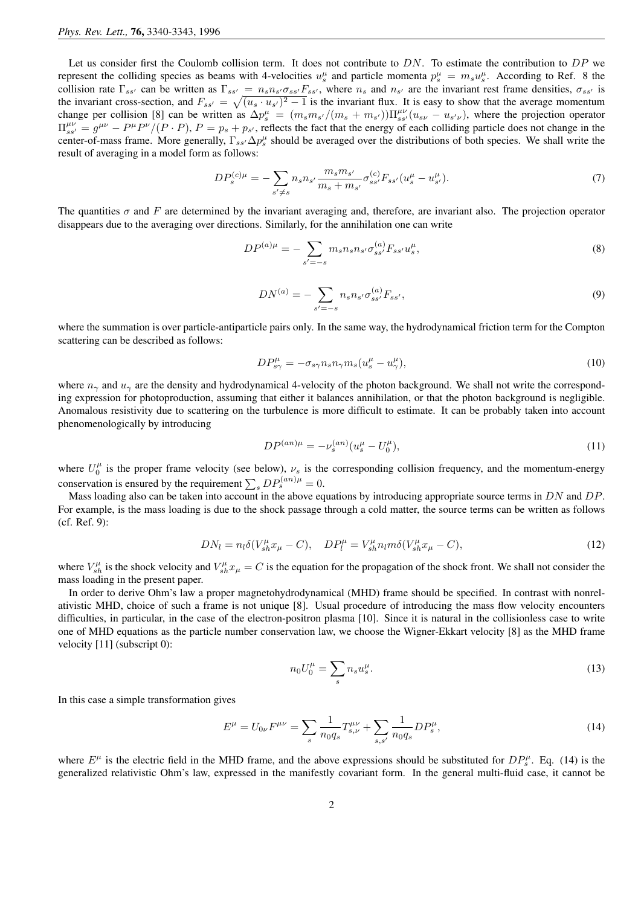Let us consider first the Coulomb collision term. It does not contribute to  $DN$ . To estimate the contribution to  $DP$  we represent the colliding species as beams with 4-velocities  $u_s^{\mu}$  and particle momenta  $p_s^{\mu} = m_s u_s^{\mu}$ . According to Ref. 8 the collision rate  $\Gamma_{ss'}$  can be written as  $\Gamma_{ss'} = n_s n_{s'} \sigma_{ss'} F_{ss'}$ , where  $n_s$  and  $n_{s'}$  are the invariant rest frame densities,  $\sigma_{ss'}$  is the invariant cross-section, and  $F_{ss'} = \sqrt{(u_s \cdot u_{s'})^2 - 1}$  is the invariant flux. It is easy to show that the average momentum change per collision [8] can be written as  $\Delta p_s^{\mu} = (m_s m_{s'}/(m_s + m_{s'})) \Pi_{ss'}^{\mu\nu}(u_{s\nu} - u_{s'\nu})$ , where the projection operator  $\Pi_{ss'}^{\mu\nu} = g^{\mu\nu} - P^{\mu}P^{\nu}/(P \cdot P), P = p_s + p_{s'}$ , reflects the fact that the energy of each colliding particle does not change in the center-of-mass frame. More generally,  $\Gamma_{ss'}\Delta p_s^{\mu}$  should be averaged over the distributions of both species. We shall write the result of averaging in a model form as follows:

$$
DP_s^{(c)\mu} = -\sum_{s'\neq s} n_s n_{s'} \frac{m_s m_{s'}}{m_s + m_{s'}} \sigma_{ss'}^{(c)} F_{ss'} (u_s^{\mu} - u_{s'}^{\mu}). \tag{7}
$$

The quantities  $\sigma$  and F are determined by the invariant averaging and, therefore, are invariant also. The projection operator disappears due to the averaging over directions. Similarly, for the annihilation one can write

$$
DP^{(a)\mu} = -\sum_{s'=-s} m_s n_s n_{s'} \sigma_{ss'}^{(a)} F_{ss'} u_s^{\mu},\tag{8}
$$

$$
DN^{(a)} = -\sum_{s'=-s} n_s n_{s'} \sigma_{ss'}^{(a)} F_{ss'},
$$
\n(9)

where the summation is over particle-antiparticle pairs only. In the same way, the hydrodynamical friction term for the Compton scattering can be described as follows:

$$
DP_{s\gamma}^{\mu} = -\sigma_{s\gamma} n_s n_{\gamma} m_s (u_s^{\mu} - u_{\gamma}^{\mu}), \qquad (10)
$$

where  $n_{\gamma}$  and  $u_{\gamma}$  are the density and hydrodynamical 4-velocity of the photon background. We shall not write the corresponding expression for photoproduction, assuming that either it balances annihilation, or that the photon background is negligible. Anomalous resistivity due to scattering on the turbulence is more difficult to estimate. It can be probably taken into account phenomenologically by introducing

$$
DP^{(an)\mu} = -\nu_s^{(an)}(u_s^{\mu} - U_0^{\mu}),\tag{11}
$$

where  $U_0^{\mu}$  is the proper frame velocity (see below),  $\nu_s$  is the corresponding collision frequency, and the momentum-energy conservation is ensured by the requirement  $\sum_{s} DP_s^{(an)\mu} = 0$ .

Mass loading also can be taken into account in the above equations by introducing appropriate source terms in DN and DP. For example, is the mass loading is due to the shock passage through a cold matter, the source terms can be written as follows (cf. Ref. 9):

$$
DN_l = n_l \delta(V_{sh}^\mu x_\mu - C), \quad DP_l^\mu = V_{sh}^\mu n_l m \delta(V_{sh}^\mu x_\mu - C), \tag{12}
$$

where  $V_{sh}^{\mu}$  is the shock velocity and  $V_{sh}^{\mu}x_{\mu} = C$  is the equation for the propagation of the shock front. We shall not consider the mass loading in the present paper.

In order to derive Ohm's law a proper magnetohydrodynamical (MHD) frame should be specified. In contrast with nonrelativistic MHD, choice of such a frame is not unique [8]. Usual procedure of introducing the mass flow velocity encounters difficulties, in particular, in the case of the electron-positron plasma [10]. Since it is natural in the collisionless case to write one of MHD equations as the particle number conservation law, we choose the Wigner-Ekkart velocity [8] as the MHD frame velocity [11] (subscript 0):

$$
n_0 U_0^{\mu} = \sum_s n_s u_s^{\mu}.
$$
 (13)

In this case a simple transformation gives

$$
E^{\mu} = U_{0\nu} F^{\mu\nu} = \sum_{s} \frac{1}{n_0 q_s} T_{s,\nu}^{\mu\nu} + \sum_{s,s'} \frac{1}{n_0 q_s} D P_s^{\mu},\tag{14}
$$

where  $E^{\mu}$  is the electric field in the MHD frame, and the above expressions should be substituted for  $DP_s^{\mu}$ . Eq. (14) is the generalized relativistic Ohm's law, expressed in the manifestly covariant form. In the general multi-fluid case, it cannot be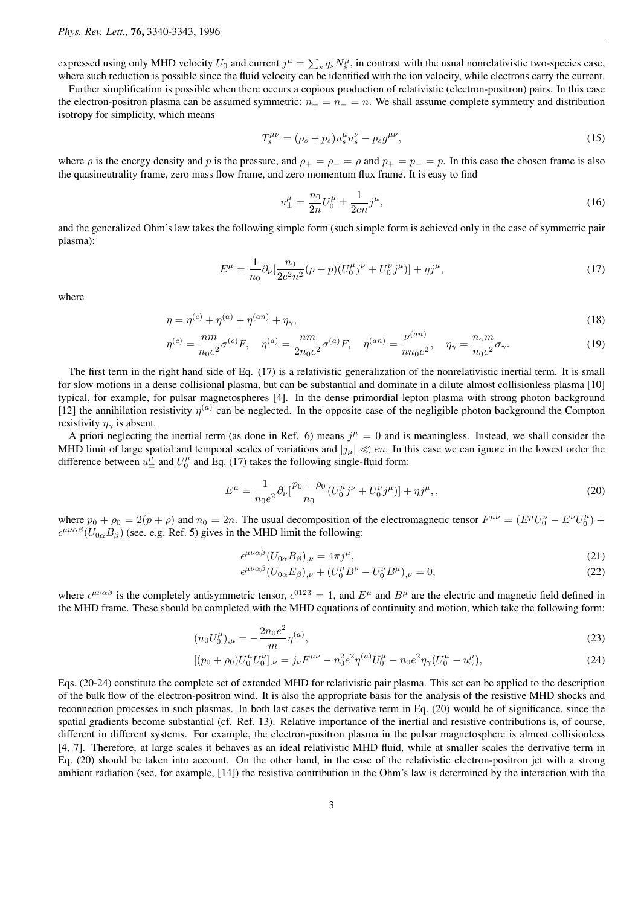expressed using only MHD velocity  $U_0$  and current  $j^\mu = \sum_s q_s N_s^\mu$ , in contrast with the usual nonrelativistic two-species case, where such reduction is possible since the fluid velocity can be identified with the ion velocity, while electrons carry the current.

Further simplification is possible when there occurs a copious production of relativistic (electron-positron) pairs. In this case the electron-positron plasma can be assumed symmetric:  $n_+ = n_- = n$ . We shall assume complete symmetry and distribution isotropy for simplicity, which means

$$
T_s^{\mu\nu} = (\rho_s + p_s)u_s^{\mu}u_s^{\nu} - p_s g^{\mu\nu}, \tag{15}
$$

where  $\rho$  is the energy density and p is the pressure, and  $\rho_+ = \rho_- = \rho$  and  $p_+ = p_- = p$ . In this case the chosen frame is also the quasineutrality frame, zero mass flow frame, and zero momentum flux frame. It is easy to find

$$
u_{\pm}^{\mu} = \frac{n_0}{2n} U_0^{\mu} \pm \frac{1}{2en} j^{\mu},\tag{16}
$$

and the generalized Ohm's law takes the following simple form (such simple form is achieved only in the case of symmetric pair plasma):

$$
E^{\mu} = \frac{1}{n_0} \partial_{\nu} \left[ \frac{n_0}{2e^2 n^2} (\rho + p) (U_0^{\mu} j^{\nu} + U_0^{\nu} j^{\mu}) \right] + \eta j^{\mu}, \tag{17}
$$

where

$$
\eta = \eta^{(c)} + \eta^{(a)} + \eta^{(an)} + \eta_{\gamma},\tag{18}
$$

$$
\eta^{(c)} = \frac{nm}{n_0 e^2} \sigma^{(c)} F, \quad \eta^{(a)} = \frac{nm}{2n_0 e^2} \sigma^{(a)} F, \quad \eta^{(an)} = \frac{\nu^{(an)}}{n n_0 e^2}, \quad \eta_{\gamma} = \frac{n_{\gamma} m}{n_0 e^2} \sigma_{\gamma}.
$$
 (19)

The first term in the right hand side of Eq. (17) is a relativistic generalization of the nonrelativistic inertial term. It is small for slow motions in a dense collisional plasma, but can be substantial and dominate in a dilute almost collisionless plasma [10] typical, for example, for pulsar magnetospheres [4]. In the dense primordial lepton plasma with strong photon background [12] the annihilation resistivity  $\eta^{(a)}$  can be neglected. In the opposite case of the negligible photon background the Compton resistivity  $\eta_{\gamma}$  is absent.

A priori neglecting the inertial term (as done in Ref. 6) means  $j^{\mu} = 0$  and is meaningless. Instead, we shall consider the MHD limit of large spatial and temporal scales of variations and  $|j_\mu| \ll en$ . In this case we can ignore in the lowest order the difference between  $u_{\pm}^{\hat{\mu}}$  and  $U_0^{\mu}$  and Eq. (17) takes the following single-fluid form:

$$
E^{\mu} = \frac{1}{n_0 e^2} \partial_{\nu} \left[ \frac{p_0 + \rho_0}{n_0} (U_0^{\mu} j^{\nu} + U_0^{\nu} j^{\mu}) \right] + \eta j^{\mu}, \qquad (20)
$$

where  $p_0 + \rho_0 = 2(p + \rho)$  and  $n_0 = 2n$ . The usual decomposition of the electromagnetic tensor  $F^{\mu\nu} = (E^{\mu}U_0^{\nu} - E^{\nu}U_0^{\mu}) +$  $\epsilon^{\mu\nu\alpha\beta}(U_{0\alpha}B_{\beta})$  (see. e.g. Ref. 5) gives in the MHD limit the following:

$$
\epsilon^{\mu\nu\alpha\beta}(U_{0\alpha}B_{\beta})_{,\nu} = 4\pi j^{\mu},\tag{21}
$$

$$
\epsilon^{\mu\nu\alpha\beta} (U_{0\alpha} E_{\beta})_{,\nu} + (U_0^{\mu} B^{\nu} - U_0^{\nu} B^{\mu})_{,\nu} = 0, \tag{22}
$$

where  $\epsilon^{\mu\nu\alpha\beta}$  is the completely antisymmetric tensor,  $\epsilon^{0123} = 1$ , and  $E^{\mu}$  and  $B^{\mu}$  are the electric and magnetic field defined in the MHD frame. These should be completed with the MHD equations of continuity and motion, which take the following form:

$$
(n_0 U_0^{\mu})_{,\mu} = -\frac{2n_0 e^2}{m} \eta^{(a)},\tag{23}
$$

$$
[(p_0 + \rho_0)U_0^{\mu}U_0^{\nu}]_{,\nu} = j_{\nu}F^{\mu\nu} - n_0^2 e^2 \eta^{(a)}U_0^{\mu} - n_0 e^2 \eta_{\gamma}(U_0^{\mu} - u_{\gamma}^{\mu}), \tag{24}
$$

Eqs. (20-24) constitute the complete set of extended MHD for relativistic pair plasma. This set can be applied to the description of the bulk flow of the electron-positron wind. It is also the appropriate basis for the analysis of the resistive MHD shocks and reconnection processes in such plasmas. In both last cases the derivative term in Eq. (20) would be of significance, since the spatial gradients become substantial (cf. Ref. 13). Relative importance of the inertial and resistive contributions is, of course, different in different systems. For example, the electron-positron plasma in the pulsar magnetosphere is almost collisionless [4, 7]. Therefore, at large scales it behaves as an ideal relativistic MHD fluid, while at smaller scales the derivative term in Eq. (20) should be taken into account. On the other hand, in the case of the relativistic electron-positron jet with a strong ambient radiation (see, for example, [14]) the resistive contribution in the Ohm's law is determined by the interaction with the